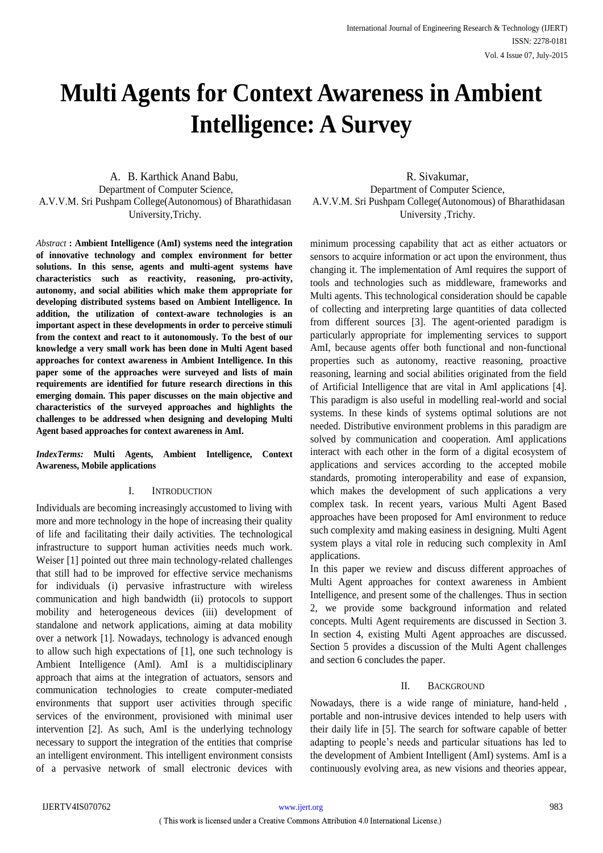# **Multi Agents for Context Awareness in Ambient Intelligence: A Survey**

A. B. Karthick Anand Babu, Department of Computer Science, A.V.V.M. Sri Pushpam College(Autonomous) of Bharathidasan University,Trichy.

*Abstract* **: Ambient Intelligence (AmI) systems need the integration of innovative technology and complex environment for better solutions. In this sense, agents and multi-agent systems have characteristics such as reactivity, reasoning, pro-activity, autonomy, and social abilities which make them appropriate for developing distributed systems based on Ambient Intelligence. In addition, the utilization of context-aware technologies is an important aspect in these developments in order to perceive stimuli from the context and react to it autonomously. To the best of our knowledge a very small work has been done in Multi Agent based approaches for context awareness in Ambient Intelligence. In this paper some of the approaches were surveyed and lists of main requirements are identified for future research directions in this emerging domain. This paper discusses on the main objective and characteristics of the surveyed approaches and highlights the challenges to be addressed when designing and developing Multi Agent based approaches for context awareness in AmI.** 

*IndexTerms:* **Multi Agents, Ambient Intelligence, Context Awareness, Mobile applications**

### I. INTRODUCTION

Individuals are becoming increasingly accustomed to living with more and more technology in the hope of increasing their quality of life and facilitating their daily activities. The technological infrastructure to support human activities needs much work. Weiser [1] pointed out three main technology-related challenges that still had to be improved for effective service mechanisms for individuals (i) pervasive infrastructure with wireless communication and high bandwidth (ii) protocols to support mobility and heterogeneous devices (iii) development of standalone and network applications, aiming at data mobility over a network [1]. Nowadays, technology is advanced enough to allow such high expectations of [1], one such technology is Ambient Intelligence (AmI). AmI is a multidisciplinary approach that aims at the integration of actuators, sensors and communication technologies to create computer-mediated environments that support user activities through specific services of the environment, provisioned with minimal user intervention [2]. As such, AmI is the underlying technology necessary to support the integration of the entities that comprise an intelligent environment. This intelligent environment consists of a pervasive network of small electronic devices with

R. Sivakumar, Department of Computer Science, A.V.V.M. Sri Pushpam College(Autonomous) of Bharathidasan University ,Trichy.

minimum processing capability that act as either actuators or sensors to acquire information or act upon the environment, thus changing it. The implementation of AmI requires the support of tools and technologies such as middleware, frameworks and Multi agents. This technological consideration should be capable of collecting and interpreting large quantities of data collected from different sources [3]. The agent-oriented paradigm is particularly appropriate for implementing services to support AmI, because agents offer both functional and non-functional properties such as autonomy, reactive reasoning, proactive reasoning, learning and social abilities originated from the field of Artificial Intelligence that are vital in AmI applications [4]. This paradigm is also useful in modelling real-world and social systems. In these kinds of systems optimal solutions are not needed. Distributive environment problems in this paradigm are solved by communication and cooperation. AmI applications interact with each other in the form of a digital ecosystem of applications and services according to the accepted mobile standards, promoting interoperability and ease of expansion, which makes the development of such applications a very complex task. In recent years, various Multi Agent Based approaches have been proposed for AmI environment to reduce such complexity amd making easiness in designing. Multi Agent system plays a vital role in reducing such complexity in AmI applications.

In this paper we review and discuss different approaches of Multi Agent approaches for context awareness in Ambient Intelligence, and present some of the challenges. Thus in section 2, we provide some background information and related concepts. Multi Agent requirements are discussed in Section 3. In section 4, existing Multi Agent approaches are discussed. Section 5 provides a discussion of the Multi Agent challenges and section 6 concludes the paper.

#### II. BACKGROUND

Nowadays, there is a wide range of miniature, hand-held , portable and non-intrusive devices intended to help users with their daily life in [5]. The search for software capable of better adapting to people's needs and particular situations has led to the development of Ambient Intelligent (AmI) systems. AmI is a continuously evolving area, as new visions and theories appear,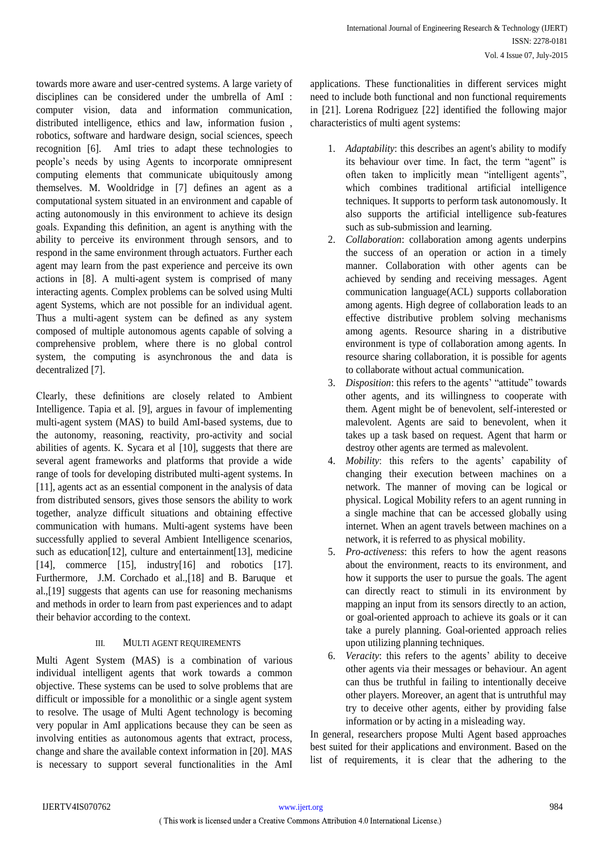towards more aware and user-centred systems. A large variety of disciplines can be considered under the umbrella of AmI : computer vision, data and information communication, distributed intelligence, ethics and law, information fusion , robotics, software and hardware design, social sciences, speech recognition [6]. AmI tries to adapt these technologies to people's needs by using Agents to incorporate omnipresent computing elements that communicate ubiquitously among themselves. M. Wooldridge in [7] defines an agent as a computational system situated in an environment and capable of acting autonomously in this environment to achieve its design goals. Expanding this definition, an agent is anything with the ability to perceive its environment through sensors, and to respond in the same environment through actuators. Further each agent may learn from the past experience and perceive its own actions in [8]. A multi-agent system is comprised of many interacting agents. Complex problems can be solved using Multi agent Systems, which are not possible for an individual agent. Thus a multi-agent system can be defined as any system composed of multiple autonomous agents capable of solving a comprehensive problem, where there is no global control system, the computing is asynchronous the and data is decentralized [7].

Clearly, these definitions are closely related to Ambient Intelligence. Tapia et al. [9], argues in favour of implementing multi-agent system (MAS) to build AmI-based systems, due to the autonomy, reasoning, reactivity, pro-activity and social abilities of agents. K. Sycara et al [10], suggests that there are several agent frameworks and platforms that provide a wide range of tools for developing distributed multi-agent systems. In [11], agents act as an essential component in the analysis of data from distributed sensors, gives those sensors the ability to work together, analyze difficult situations and obtaining effective communication with humans. Multi-agent systems have been successfully applied to several Ambient Intelligence scenarios, such as education<sup>[12]</sup>, culture and entertainment<sup>[13]</sup>, medicine [14], commerce [15], industry[16] and robotics [17]. Furthermore, J.M. Corchado et al.,[18] and B. Baruque et al.,[19] suggests that agents can use for reasoning mechanisms and methods in order to learn from past experiences and to adapt their behavior according to the context.

## III. MULTI AGENT REQUIREMENTS

Multi Agent System (MAS) is a combination of various individual intelligent agents that work towards a common objective. These systems can be used to solve problems that are difficult or impossible for a monolithic or a single agent system to resolve. The usage of Multi Agent technology is becoming very popular in AmI applications because they can be seen as involving entities as autonomous agents that extract, process, change and share the available context information in [20]. MAS is necessary to support several functionalities in the AmI

applications. These functionalities in different services might need to include both functional and non functional requirements in [21]. Lorena Rodriguez [22] identified the following major characteristics of multi agent systems:

- 1. *Adaptability*: this describes an agent's ability to modify its behaviour over time. In fact, the term "agent" is often taken to implicitly mean "intelligent agents", which combines traditional artificial intelligence techniques. It supports to perform task autonomously. It also supports the artificial intelligence sub-features such as sub-submission and learning.
- 2. *Collaboration*: collaboration among agents underpins the success of an operation or action in a timely manner. Collaboration with other agents can be achieved by sending and receiving messages. Agent communication language(ACL) supports collaboration among agents. High degree of collaboration leads to an effective distributive problem solving mechanisms among agents. Resource sharing in a distributive environment is type of collaboration among agents. In resource sharing collaboration, it is possible for agents to collaborate without actual communication.
- 3. *Disposition*: this refers to the agents' "attitude" towards other agents, and its willingness to cooperate with them. Agent might be of benevolent, self-interested or malevolent. Agents are said to benevolent, when it takes up a task based on request. Agent that harm or destroy other agents are termed as malevolent.
- 4. *Mobility*: this refers to the agents' capability of changing their execution between machines on a network. The manner of moving can be logical or physical. Logical Mobility refers to an agent running in a single machine that can be accessed globally using internet. When an agent travels between machines on a network, it is referred to as physical mobility.
- 5. *Pro-activeness*: this refers to how the agent reasons about the environment, reacts to its environment, and how it supports the user to pursue the goals. The agent can directly react to stimuli in its environment by mapping an input from its sensors directly to an action, or goal-oriented approach to achieve its goals or it can take a purely planning. Goal-oriented approach relies upon utilizing planning techniques.
- 6. *Veracity*: this refers to the agents' ability to deceive other agents via their messages or behaviour. An agent can thus be truthful in failing to intentionally deceive other players. Moreover, an agent that is untruthful may try to deceive other agents, either by providing false information or by acting in a misleading way.

In general, researchers propose Multi Agent based approaches best suited for their applications and environment. Based on the list of requirements, it is clear that the adhering to the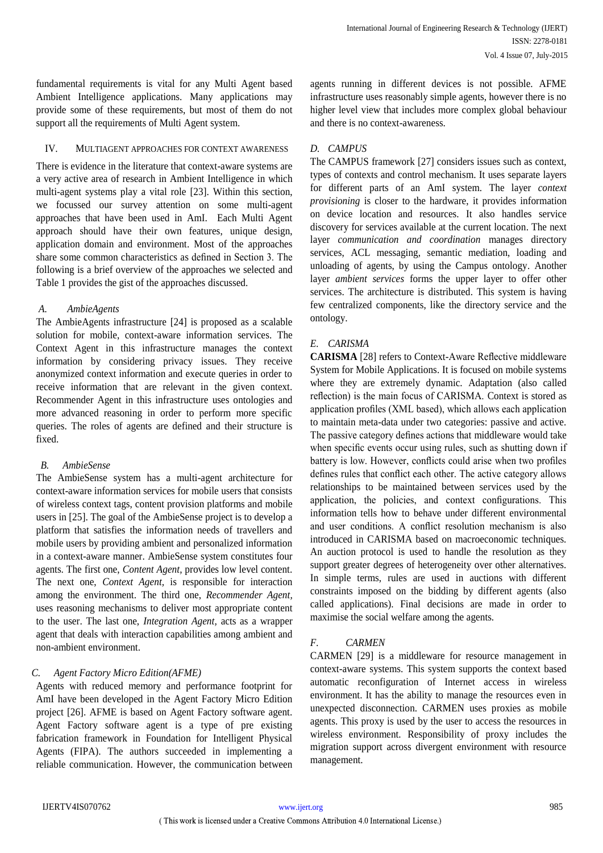fundamental requirements is vital for any Multi Agent based Ambient Intelligence applications. Many applications may provide some of these requirements, but most of them do not support all the requirements of Multi Agent system.

## IV. MULTIAGENT APPROACHES FOR CONTEXT AWARENESS

There is evidence in the literature that context-aware systems are a very active area of research in Ambient Intelligence in which multi-agent systems play a vital role [23]. Within this section, we focussed our survey attention on some multi-agent approaches that have been used in AmI. Each Multi Agent approach should have their own features, unique design, application domain and environment. Most of the approaches share some common characteristics as defined in Section 3. The following is a brief overview of the approaches we selected and Table 1 provides the gist of the approaches discussed.

## *A. AmbieAgents*

The AmbieAgents infrastructure [24] is proposed as a scalable solution for mobile, context-aware information services. The Context Agent in this infrastructure manages the context information by considering privacy issues. They receive anonymized context information and execute queries in order to receive information that are relevant in the given context. Recommender Agent in this infrastructure uses ontologies and more advanced reasoning in order to perform more specific queries. The roles of agents are defined and their structure is fixed.

## *B. AmbieSense*

The AmbieSense system has a multi-agent architecture for context-aware information services for mobile users that consists of wireless context tags, content provision platforms and mobile users in [25]. The goal of the AmbieSense project is to develop a platform that satisfies the information needs of travellers and mobile users by providing ambient and personalized information in a context-aware manner. AmbieSense system constitutes four agents. The first one, *Content Agent,* provides low level content. The next one, *Context Agent,* is responsible for interaction among the environment. The third one, *Recommender Agent,* uses reasoning mechanisms to deliver most appropriate content to the user. The last one, *Integration Agent,* acts as a wrapper agent that deals with interaction capabilities among ambient and non-ambient environment.

## *C. Agent Factory Micro Edition(AFME)*

Agents with reduced memory and performance footprint for AmI have been developed in the Agent Factory Micro Edition project [26]. AFME is based on Agent Factory software agent. Agent Factory software agent is a type of pre existing fabrication framework in Foundation for Intelligent Physical Agents (FIPA). The authors succeeded in implementing a reliable communication. However, the communication between

agents running in different devices is not possible. AFME infrastructure uses reasonably simple agents, however there is no higher level view that includes more complex global behaviour and there is no context-awareness.

## *D. CAMPUS*

The CAMPUS framework [27] considers issues such as context, types of contexts and control mechanism. It uses separate layers for different parts of an AmI system. The layer *context provisioning* is closer to the hardware, it provides information on device location and resources. It also handles service discovery for services available at the current location. The next layer *communication and coordination* manages directory services, ACL messaging, semantic mediation, loading and unloading of agents, by using the Campus ontology. Another layer *ambient services* forms the upper layer to offer other services. The architecture is distributed. This system is having few centralized components, like the directory service and the ontology.

## *E. CARISMA*

**CARISMA** [28] refers to Context-Aware Reflective middleware System for Mobile Applications. It is focused on mobile systems where they are extremely dynamic. Adaptation (also called reflection) is the main focus of CARISMA. Context is stored as application profiles (XML based), which allows each application to maintain meta-data under two categories: passive and active. The passive category defines actions that middleware would take when specific events occur using rules, such as shutting down if battery is low. However, conflicts could arise when two profiles defines rules that conflict each other. The active category allows relationships to be maintained between services used by the application, the policies, and context configurations. This information tells how to behave under different environmental and user conditions. A conflict resolution mechanism is also introduced in CARISMA based on macroeconomic techniques. An auction protocol is used to handle the resolution as they support greater degrees of heterogeneity over other alternatives. In simple terms, rules are used in auctions with different constraints imposed on the bidding by different agents (also called applications). Final decisions are made in order to maximise the social welfare among the agents.

# *F. CARMEN*

CARMEN [29] is a middleware for resource management in context-aware systems. This system supports the context based automatic reconfiguration of Internet access in wireless environment. It has the ability to manage the resources even in unexpected disconnection. CARMEN uses proxies as mobile agents. This proxy is used by the user to access the resources in wireless environment. Responsibility of proxy includes the migration support across divergent environment with resource management.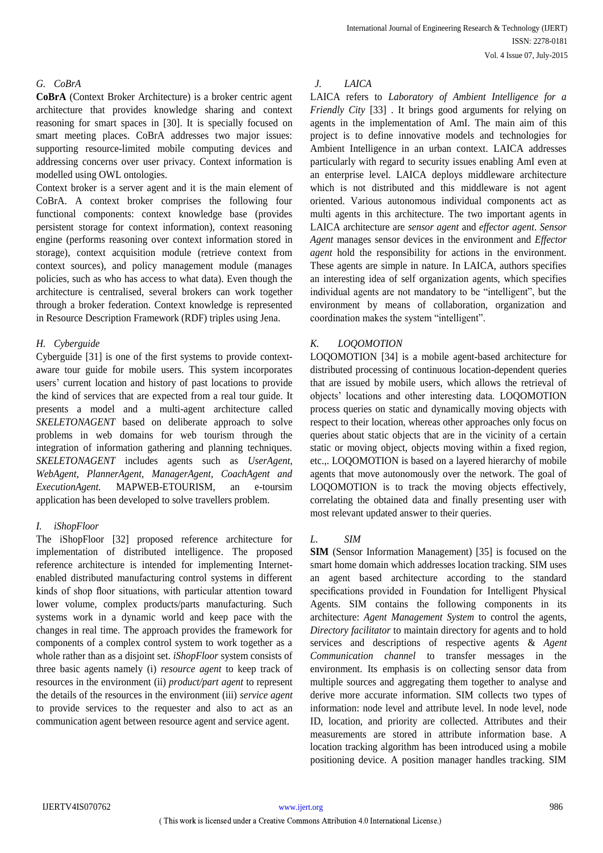## *G. CoBrA*

**CoBrA** (Context Broker Architecture) is a broker centric agent architecture that provides knowledge sharing and context reasoning for smart spaces in [30]. It is specially focused on smart meeting places. CoBrA addresses two major issues: supporting resource-limited mobile computing devices and addressing concerns over user privacy. Context information is modelled using OWL ontologies.

Context broker is a server agent and it is the main element of CoBrA. A context broker comprises the following four functional components: context knowledge base (provides persistent storage for context information), context reasoning engine (performs reasoning over context information stored in storage), context acquisition module (retrieve context from context sources), and policy management module (manages policies, such as who has access to what data). Even though the architecture is centralised, several brokers can work together through a broker federation. Context knowledge is represented in Resource Description Framework (RDF) triples using Jena.

## *H. Cyberguide*

Cyberguide [31] is one of the first systems to provide contextaware tour guide for mobile users. This system incorporates users' current location and history of past locations to provide the kind of services that are expected from a real tour guide. It presents a model and a multi-agent architecture called *SKELETONAGENT* based on deliberate approach to solve problems in web domains for web tourism through the integration of information gathering and planning techniques. *SKELETONAGENT* includes agents such as *UserAgent*, *WebAgent, PlannerAgent, ManagerAgent, CoachAgent and ExecutionAgent.* MAPWEB-ETOURISM, an e-toursim application has been developed to solve travellers problem.

## *I. iShopFloor*

The iShopFloor [32] proposed reference architecture for implementation of distributed intelligence. The proposed reference architecture is intended for implementing Internetenabled distributed manufacturing control systems in different kinds of shop floor situations, with particular attention toward lower volume, complex products/parts manufacturing. Such systems work in a dynamic world and keep pace with the changes in real time. The approach provides the framework for components of a complex control system to work together as a whole rather than as a disjoint set. *iShopFloor* system consists of three basic agents namely (i) *resource agent* to keep track of resources in the environment (ii) *product/part agent* to represent the details of the resources in the environment (iii) *service agent* to provide services to the requester and also to act as an communication agent between resource agent and service agent.

## *J. LAICA*

LAICA refers to *Laboratory of Ambient Intelligence for a Friendly City* [33] . It brings good arguments for relying on agents in the implementation of AmI. The main aim of this project is to define innovative models and technologies for Ambient Intelligence in an urban context. LAICA addresses particularly with regard to security issues enabling AmI even at an enterprise level. LAICA deploys middleware architecture which is not distributed and this middleware is not agent oriented. Various autonomous individual components act as multi agents in this architecture. The two important agents in LAICA architecture are *sensor agent* and *effector agent*. *Sensor Agent* manages sensor devices in the environment and *Effector agent* hold the responsibility for actions in the environment. These agents are simple in nature. In LAICA, authors specifies an interesting idea of self organization agents, which specifies individual agents are not mandatory to be "intelligent", but the environment by means of collaboration, organization and coordination makes the system "intelligent".

# *K.**LOQOMOTION*

LOQOMOTION [34] is a mobile agent-based architecture for distributed processing of continuous location-dependent queries that are issued by mobile users, which allows the retrieval of objects' locations and other interesting data. LOQOMOTION process queries on static and dynamically moving objects with respect to their location, whereas other approaches only focus on queries about static objects that are in the vicinity of a certain static or moving object, objects moving within a fixed region, etc.,. LOQOMOTION is based on a layered hierarchy of mobile agents that move autonomously over the network. The goal of LOQOMOTION is to track the moving objects effectively, correlating the obtained data and finally presenting user with most relevant updated answer to their queries.

## *L. SIM*

**SIM** (Sensor Information Management) [35] is focused on the smart home domain which addresses location tracking. SIM uses an agent based architecture according to the standard specifications provided in Foundation for Intelligent Physical Agents. SIM contains the following components in its architecture: *Agent Management System* to control the agents, *Directory facilitator* to maintain directory for agents and to hold services and descriptions of respective agents & *Agent Communication channel* to transfer messages in the environment. Its emphasis is on collecting sensor data from multiple sources and aggregating them together to analyse and derive more accurate information. SIM collects two types of information: node level and attribute level. In node level, node ID, location, and priority are collected. Attributes and their measurements are stored in attribute information base. A location tracking algorithm has been introduced using a mobile positioning device. A position manager handles tracking. SIM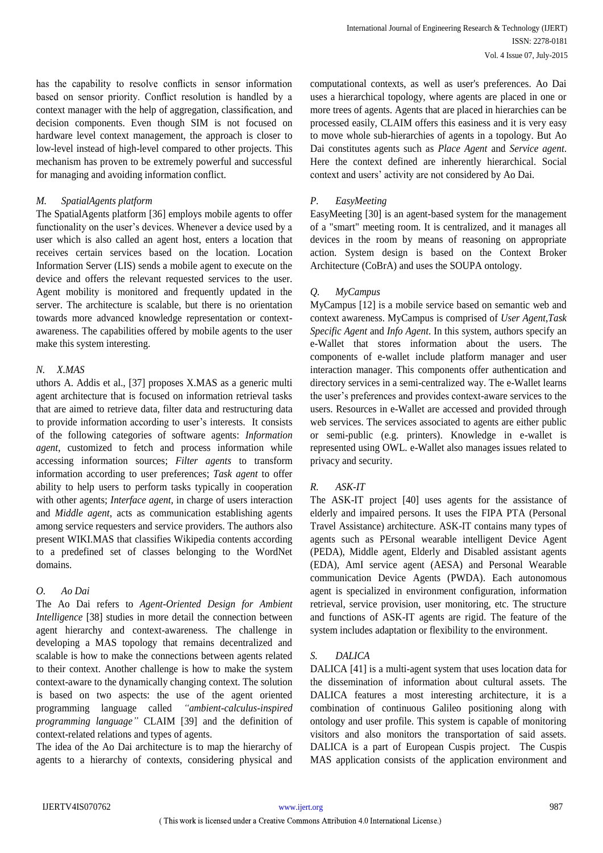has the capability to resolve conflicts in sensor information based on sensor priority. Conflict resolution is handled by a context manager with the help of aggregation, classification, and decision components. Even though SIM is not focused on hardware level context management, the approach is closer to low-level instead of high-level compared to other projects. This mechanism has proven to be extremely powerful and successful for managing and avoiding information conflict.

## *M. SpatialAgents platform*

The SpatialAgents platform [36] employs mobile agents to offer functionality on the user's devices. Whenever a device used by a user which is also called an agent host, enters a location that receives certain services based on the location. Location Information Server (LIS) sends a mobile agent to execute on the device and offers the relevant requested services to the user. Agent mobility is monitored and frequently updated in the server. The architecture is scalable, but there is no orientation towards more advanced knowledge representation or contextawareness. The capabilities offered by mobile agents to the user make this system interesting.

## *N.**X.MAS*

uthors A. Addis et al., [37] proposes X.MAS as a generic multi agent architecture that is focused on information retrieval tasks that are aimed to retrieve data, filter data and restructuring data to provide information according to user's interests. It consists of the following categories of software agents: *Information agent*, customized to fetch and process information while accessing information sources; *Filter agents* to transform information according to user preferences; *Task agent* to offer ability to help users to perform tasks typically in cooperation with other agents; *Interface agent*, in charge of users interaction and *Middle agent*, acts as communication establishing agents among service requesters and service providers. The authors also present WIKI.MAS that classifies Wikipedia contents according to a predefined set of classes belonging to the WordNet domains.

### *O. Ao Dai*

The Ao Dai refers to *Agent-Oriented Design for Ambient Intelligence* [38] studies in more detail the connection between agent hierarchy and context-awareness. The challenge in developing a MAS topology that remains decentralized and scalable is how to make the connections between agents related to their context. Another challenge is how to make the system context-aware to the dynamically changing context. The solution is based on two aspects: the use of the agent oriented programming language called *"ambient-calculus-inspired programming language"* CLAIM [39] and the definition of context-related relations and types of agents.

The idea of the Ao Dai architecture is to map the hierarchy of agents to a hierarchy of contexts, considering physical and

computational contexts, as well as user's preferences. Ao Dai uses a hierarchical topology, where agents are placed in one or more trees of agents. Agents that are placed in hierarchies can be processed easily, CLAIM offers this easiness and it is very easy to move whole sub-hierarchies of agents in a topology. But Ao Dai constitutes agents such as *Place Agent* and *Service agent*. Here the context defined are inherently hierarchical. Social context and users' activity are not considered by Ao Dai.

## *P. EasyMeeting*

EasyMeeting [30] is an agent-based system for the management of a "smart" meeting room. It is centralized, and it manages all devices in the room by means of reasoning on appropriate action. System design is based on the Context Broker Architecture (CoBrA) and uses the SOUPA ontology.

## *Q.**MyCampus*

MyCampus [12] is a mobile service based on semantic web and context awareness. MyCampus is comprised of *User Agent*,*Task Specific Agent* and *Info Agent*. In this system, authors specify an e-Wallet that stores information about the users. The components of e-wallet include platform manager and user interaction manager. This components offer authentication and directory services in a semi-centralized way. The e-Wallet learns the user's preferences and provides context-aware services to the users. Resources in e-Wallet are accessed and provided through web services. The services associated to agents are either public or semi-public (e.g. printers). Knowledge in e-wallet is represented using OWL. e-Wallet also manages issues related to privacy and security.

## *R. ASK-IT*

The ASK-IT project [40] uses agents for the assistance of elderly and impaired persons. It uses the FIPA PTA (Personal Travel Assistance) architecture. ASK-IT contains many types of agents such as PErsonal wearable intelligent Device Agent (PEDA), Middle agent, Elderly and Disabled assistant agents (EDA), AmI service agent (AESA) and Personal Wearable communication Device Agents (PWDA). Each autonomous agent is specialized in environment configuration, information retrieval, service provision, user monitoring, etc. The structure and functions of ASK-IT agents are rigid. The feature of the system includes adaptation or flexibility to the environment.

## *S.**DALICA*

DALICA [41] is a multi-agent system that uses location data for the dissemination of information about cultural assets. The DALICA features a most interesting architecture, it is a combination of continuous Galileo positioning along with ontology and user profile. This system is capable of monitoring visitors and also monitors the transportation of said assets. DALICA is a part of European Cuspis project. The Cuspis MAS application consists of the application environment and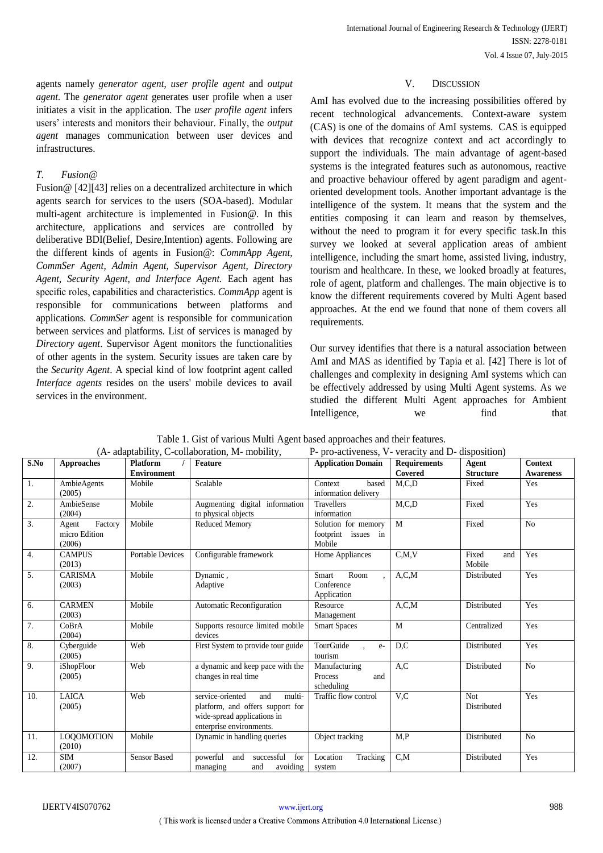agents namely *generator agent*, *user profile agent* and *output agent.* The *generator agent* generates user profile when a user initiates a visit in the application. The *user profile agent* infers users' interests and monitors their behaviour. Finally, the *output agent* manages communication between user devices and infrastructures.

## *T. Fusion@*

Fusion@ [42][43] relies on a decentralized architecture in which agents search for services to the users (SOA-based). Modular multi-agent architecture is implemented in Fusion@. In this architecture, applications and services are controlled by deliberative BDI(Belief, Desire,Intention) agents. Following are the different kinds of agents in Fusion@: *CommApp Agent, CommSer Agent, Admin Agent, Supervisor Agent, Directory Agent, Security Agent, and Interface Agent.* Each agent has specific roles, capabilities and characteristics. *CommApp* agent is responsible for communications between platforms and applications. *CommSer* agent is responsible for communication between services and platforms. List of services is managed by *Directory agent*. Supervisor Agent monitors the functionalities of other agents in the system. Security issues are taken care by the *Security Agent*. A special kind of low footprint agent called *Interface agents* resides on the users' mobile devices to avail services in the environment.

## V. DISCUSSION

AmI has evolved due to the increasing possibilities offered by recent technological advancements. Context-aware system (CAS) is one of the domains of AmI systems. CAS is equipped with devices that recognize context and act accordingly to support the individuals. The main advantage of agent-based systems is the integrated features such as autonomous, reactive and proactive behaviour offered by agent paradigm and agentoriented development tools. Another important advantage is the intelligence of the system. It means that the system and the entities composing it can learn and reason by themselves, without the need to program it for every specific task.In this survey we looked at several application areas of ambient intelligence, including the smart home, assisted living, industry, tourism and healthcare. In these, we looked broadly at features, role of agent, platform and challenges. The main objective is to know the different requirements covered by Multi Agent based approaches. At the end we found that none of them covers all requirements.

Our survey identifies that there is a natural association between AmI and MAS as identified by Tapia et al. [42] There is lot of challenges and complexity in designing AmI systems which can be effectively addressed by using Multi Agent systems. As we studied the different Multi Agent approaches for Ambient Intelligence, we find that

Table 1. Gist of various Multi Agent based approaches and their features.<br>  $V_{\text{C}}$  Collaboration M, mobility **P** are activeness V, verseity and l

| Table 1. Olst of various ividiti rigent based approaches and their reatures.<br>(A- adaptability, C-collaboration, M- mobility,<br>P- pro-activeness, V- veracity and D- disposition) |                                             |                                       |                                                                                                                                  |                                                      |                                |                           |                                    |  |  |  |  |
|---------------------------------------------------------------------------------------------------------------------------------------------------------------------------------------|---------------------------------------------|---------------------------------------|----------------------------------------------------------------------------------------------------------------------------------|------------------------------------------------------|--------------------------------|---------------------------|------------------------------------|--|--|--|--|
| S.No                                                                                                                                                                                  | <b>Approaches</b>                           | <b>Platform</b><br><b>Environment</b> | <b>Feature</b>                                                                                                                   | <b>Application Domain</b>                            | <b>Requirements</b><br>Covered | Agent<br><b>Structure</b> | <b>Context</b><br><b>Awareness</b> |  |  |  |  |
| 1.                                                                                                                                                                                    | AmbieAgents<br>(2005)                       | Mobile                                | Scalable                                                                                                                         | Context<br>based<br>information delivery             | M.C.D                          | Fixed                     | Yes                                |  |  |  |  |
| 2.                                                                                                                                                                                    | AmbieSense<br>(2004)                        | Mobile                                | Augmenting digital information<br>to physical objects                                                                            | <b>Travellers</b><br>information                     | M, C, D                        | Fixed                     | Yes                                |  |  |  |  |
| 3.                                                                                                                                                                                    | Factory<br>Agent<br>micro Edition<br>(2006) | Mobile                                | <b>Reduced Memory</b>                                                                                                            | Solution for memory<br>footprint issues in<br>Mobile | M                              | Fixed                     | N <sub>0</sub>                     |  |  |  |  |
| 4.                                                                                                                                                                                    | <b>CAMPUS</b><br>(2013)                     | <b>Portable Devices</b>               | Configurable framework                                                                                                           | Home Appliances                                      | C.M.V                          | Fixed<br>and<br>Mobile    | Yes                                |  |  |  |  |
| 5.                                                                                                                                                                                    | <b>CARISMA</b><br>(2003)                    | Mobile                                | Dynamic,<br>Adaptive                                                                                                             | Room<br>Smart<br>Conference<br>Application           | A, C, M                        | Distributed               | Yes                                |  |  |  |  |
| 6.                                                                                                                                                                                    | <b>CARMEN</b><br>(2003)                     | Mobile                                | Automatic Reconfiguration                                                                                                        | Resource<br>Management                               | A, C, M                        | Distributed               | Yes                                |  |  |  |  |
| 7.                                                                                                                                                                                    | CoBrA<br>(2004)                             | Mobile                                | Supports resource limited mobile<br>devices                                                                                      | <b>Smart Spaces</b>                                  | M                              | Centralized               | Yes                                |  |  |  |  |
| 8.                                                                                                                                                                                    | Cyberguide<br>(2005)                        | Web                                   | First System to provide tour guide                                                                                               | TourGuide<br>$e-$<br>tourism                         | D.C                            | Distributed               | Yes                                |  |  |  |  |
| 9.                                                                                                                                                                                    | iShopFloor<br>(2005)                        | Web                                   | a dynamic and keep pace with the<br>changes in real time                                                                         | Manufacturing<br>Process<br>and<br>scheduling        | A, C                           | Distributed               | N <sub>o</sub>                     |  |  |  |  |
| 10.                                                                                                                                                                                   | <b>LAICA</b><br>(2005)                      | Web                                   | service-oriented<br>and<br>multi-<br>platform, and offers support for<br>wide-spread applications in<br>enterprise environments. | Traffic flow control                                 | V,C                            | <b>Not</b><br>Distributed | Yes                                |  |  |  |  |
| 11.                                                                                                                                                                                   | <b>LOOOMOTION</b><br>(2010)                 | Mobile                                | Dynamic in handling queries                                                                                                      | Object tracking                                      | M.P                            | Distributed               | N <sub>o</sub>                     |  |  |  |  |
| 12.                                                                                                                                                                                   | <b>SIM</b><br>(2007)                        | <b>Sensor Based</b>                   | powerful<br>successful<br>for<br>and<br>avoiding<br>managing<br>and                                                              | Location<br>Tracking<br>system                       | C.M                            | Distributed               | Yes                                |  |  |  |  |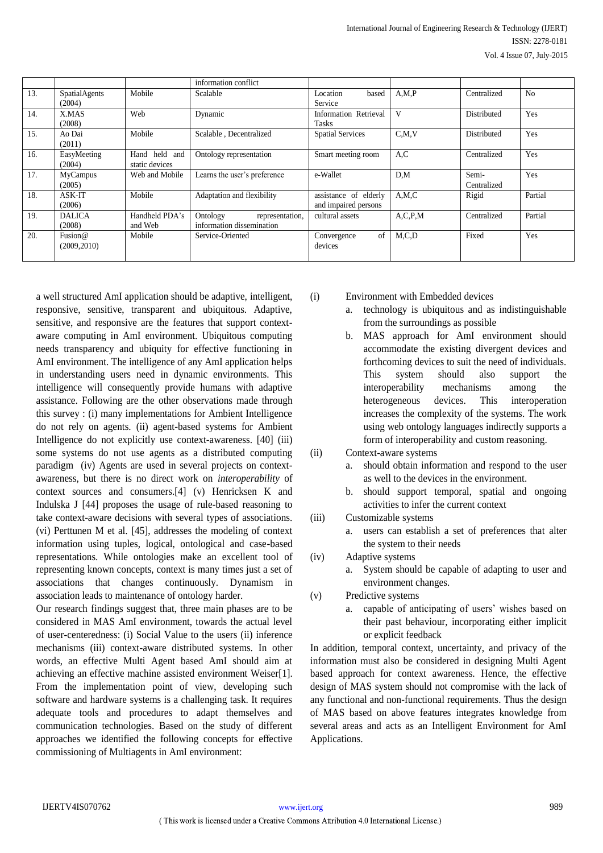|     |               |                | information conflict         |                         |            |             |         |
|-----|---------------|----------------|------------------------------|-------------------------|------------|-------------|---------|
| 13. | SpatialAgents | Mobile         | Scalable                     | Location<br>based       | A, M, P    | Centralized | No      |
|     | (2004)        |                |                              | Service                 |            |             |         |
| 14. | X.MAS         | Web            | Dynamic                      | Information Retrieval   | V          | Distributed | Yes     |
|     | (2008)        |                |                              | Tasks                   |            |             |         |
| 15. | Ao Dai        | Mobile         | Scalable, Decentralized      | <b>Spatial Services</b> | C.M.V      | Distributed | Yes     |
|     | (2011)        |                |                              |                         |            |             |         |
| 16. | EasyMeeting   | Hand held and  | Ontology representation      | Smart meeting room      | A.C        | Centralized | Yes     |
|     | (2004)        | static devices |                              |                         |            |             |         |
| 17. | MyCampus      | Web and Mobile | Learns the user's preference | e-Wallet                | D.M        | Semi-       | Yes     |
|     | (2005)        |                |                              |                         |            | Centralized |         |
| 18. | ASK-IT        | Mobile         | Adaptation and flexibility   | assistance of elderly   | A.M.C      | Rigid       | Partial |
|     | (2006)        |                |                              | and impaired persons    |            |             |         |
| 19. | <b>DALICA</b> | Handheld PDA's | Ontology<br>representation.  | cultural assets         | A, C, P, M | Centralized | Partial |
|     | (2008)        | and Web        | information dissemination    |                         |            |             |         |
| 20. | Fusion $@$    | Mobile         | Service-Oriented             | of<br>Convergence       | M.C.D      | Fixed       | Yes     |
|     | (2009, 2010)  |                |                              | devices                 |            |             |         |
|     |               |                |                              |                         |            |             |         |

a well structured AmI application should be adaptive, intelligent, responsive, sensitive, transparent and ubiquitous. Adaptive, sensitive, and responsive are the features that support contextaware computing in AmI environment. Ubiquitous computing needs transparency and ubiquity for effective functioning in AmI environment. The intelligence of any AmI application helps in understanding users need in dynamic environments. This intelligence will consequently provide humans with adaptive assistance. Following are the other observations made through this survey : (i) many implementations for Ambient Intelligence do not rely on agents. (ii) agent-based systems for Ambient Intelligence do not explicitly use context-awareness. [40] (iii) some systems do not use agents as a distributed computing paradigm (iv) Agents are used in several projects on contextawareness, but there is no direct work on *interoperability* of context sources and consumers.[4] (v) Henricksen K and Indulska J [44] proposes the usage of rule-based reasoning to take context-aware decisions with several types of associations. (vi) Perttunen M et al. [45], addresses the modeling of context information using tuples, logical, ontological and case-based representations. While ontologies make an excellent tool of representing known concepts, context is many times just a set of associations that changes continuously. Dynamism in association leads to maintenance of ontology harder.

Our research findings suggest that, three main phases are to be considered in MAS AmI environment, towards the actual level of user-centeredness: (i) Social Value to the users (ii) inference mechanisms (iii) context-aware distributed systems. In other words, an effective Multi Agent based AmI should aim at achieving an effective machine assisted environment Weiser[1]. From the implementation point of view, developing such software and hardware systems is a challenging task. It requires adequate tools and procedures to adapt themselves and communication technologies. Based on the study of different approaches we identified the following concepts for effective commissioning of Multiagents in AmI environment:

(i) Environment with Embedded devices

- a. technology is ubiquitous and as indistinguishable from the surroundings as possible
- b. MAS approach for AmI environment should accommodate the existing divergent devices and forthcoming devices to suit the need of individuals. This system should also support the interoperability mechanisms among the heterogeneous devices. This interoperation increases the complexity of the systems. The work using web ontology languages indirectly supports a form of interoperability and custom reasoning.

(ii) Context-aware systems

- a. should obtain information and respond to the user as well to the devices in the environment.
- b. should support temporal, spatial and ongoing activities to infer the current context
- (iii) Customizable systems
	- a. users can establish a set of preferences that alter the system to their needs
- (iv) Adaptive systems
	- a. System should be capable of adapting to user and environment changes.
- (v) Predictive systems
	- a. capable of anticipating of users' wishes based on their past behaviour, incorporating either implicit or explicit feedback

In addition, temporal context, uncertainty, and privacy of the information must also be considered in designing Multi Agent based approach for context awareness. Hence, the effective design of MAS system should not compromise with the lack of any functional and non-functional requirements. Thus the design of MAS based on above features integrates knowledge from several areas and acts as an Intelligent Environment for AmI Applications.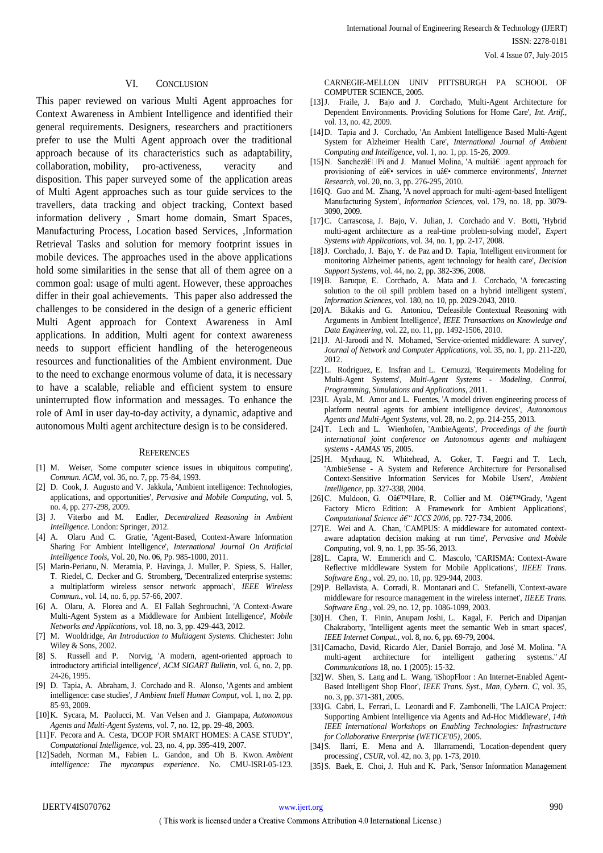Vol. 4 Issue 07, July-2015

### VI. CONCLUSION

This paper reviewed on various Multi Agent approaches for Context Awareness in Ambient Intelligence and identified their general requirements. Designers, researchers and practitioners prefer to use the Multi Agent approach over the traditional approach because of its characteristics such as adaptability, collaboration, mobility, pro-activeness, veracity and disposition. This paper surveyed some of the application areas of Multi Agent approaches such as tour guide services to the travellers, data tracking and object tracking, Context based information delivery , Smart home domain, Smart Spaces, Manufacturing Process, Location based Services, ,Information Retrieval Tasks and solution for memory footprint issues in mobile devices. The approaches used in the above applications hold some similarities in the sense that all of them agree on a common goal: usage of multi agent. However, these approaches differ in their goal achievements. This paper also addressed the challenges to be considered in the design of a generic efficient Multi Agent approach for Context Awareness in AmI applications. In addition, Multi agent for context awareness needs to support efficient handling of the heterogeneous resources and functionalities of the Ambient environment. Due to the need to exchange enormous volume of data, it is necessary to have a scalable, reliable and efficient system to ensure uninterrupted flow information and messages. To enhance the role of AmI in user day-to-day activity, a dynamic, adaptive and autonomous Multi agent architecture design is to be considered.

#### **REFERENCES**

- [1] M. Weiser, 'Some computer science issues in ubiquitous computing', *Commun. ACM*, vol. 36, no. 7, pp. 75-84, 1993.
- [2] D. Cook, J. Augusto and V. Jakkula, 'Ambient intelligence: Technologies, applications, and opportunities', *Pervasive and Mobile Computing*, vol. 5, no. 4, pp. 277-298, 2009.
- [3] J. Viterbo and M. Endler, *Decentralized Reasoning in Ambient Intelligence*. London: Springer, 2012.
- [4] A. Olaru And C. Gratie, 'Agent-Based, Context-Aware Information Sharing For Ambient Intelligence', *International Journal On Artificial Intelligence Tools*, Vol. 20, No. 06, Pp. 985-1000, 2011.
- [5] Marin-Perianu, N. Meratnia, P. Havinga, J. Muller, P. Spiess, S. Haller, T. Riedel, C. Decker and G. Stromberg, 'Decentralized enterprise systems: a multiplatform wireless sensor network approach', *IEEE Wireless Commun.*, vol. 14, no. 6, pp. 57-66, 2007.
- [6] A. Olaru, A. Florea and A. El Fallah Seghrouchni, 'A Context-Aware Multi-Agent System as a Middleware for Ambient Intelligence', *Mobile Networks and Applications*, vol. 18, no. 3, pp. 429-443, 2012.
- [7] M. Wooldridge, *An Introduction to Multiagent Systems*. Chichester: John Wiley & Sons, 2002.
- [8] S. Russell and P. Norvig, 'A modern, agent-oriented approach to introductory artificial intelligence', *ACM SIGART Bulletin*, vol. 6, no. 2, pp. 24-26, 1995.
- [9] D. Tapia, A. Abraham, J. Corchado and R. Alonso, 'Agents and ambient intelligence: case studies', *J Ambient Intell Human Comput*, vol. 1, no. 2, pp. 85-93, 2009.
- [10]K. Sycara, M. Paolucci, M. Van Velsen and J. Giampapa, *Autonomous Agents and Multi-Agent Systems*, vol. 7, no. 12, pp. 29-48, 2003.
- [11]F. Pecora and A. Cesta, 'DCOP FOR SMART HOMES: A CASE STUDY', *Computational Intelligence*, vol. 23, no. 4, pp. 395-419, 2007.
- [12]Sadeh, Norman M., Fabien L. Gandon, and Oh B. Kwon. *Ambient intelligence: The mycampus experience*. No. CMU-ISRI-05-123.

CARNEGIE-MELLON UNIV PITTSBURGH PA SCHOOL OF COMPUTER SCIENCE, 2005.

- [13]J. Fraile, J. Bajo and J. Corchado, 'Multi-Agent Architecture for Dependent Environments. Providing Solutions for Home Care', *Int. Artif.*, vol. 13, no. 42, 2009.
- [14]D. Tapia and J. Corchado, 'An Ambient Intelligence Based Multi-Agent System for Alzheimer Health Care', *International Journal of Ambient Computing and Intelligence*, vol. 1, no. 1, pp. 15-26, 2009.
- [15] N. Sanchezâ $\epsilon \Box$  Pi and J. Manuel Molina, 'A multiâ $\epsilon \Box$  agent approach for provisioning of ea<sup>c</sup> • services in ua<sup>c</sup> • commerce environments', *Internet Research*, vol. 20, no. 3, pp. 276-295, 2010.
- [16]Q. Guo and M. Zhang, 'A novel approach for multi-agent-based Intelligent Manufacturing System', *Information Sciences*, vol. 179, no. 18, pp. 3079- 3090, 2009.
- [17]C. Carrascosa, J. Bajo, V. Julian, J. Corchado and V. Botti, 'Hybrid multi-agent architecture as a real-time problem-solving model', *Expert Systems with Applications*, vol. 34, no. 1, pp. 2-17, 2008.
- [18] J. Corchado, J. Bajo, Y. de Paz and D. Tapia, 'Intelligent environment for monitoring Alzheimer patients, agent technology for health care', *Decision Support Systems*, vol. 44, no. 2, pp. 382-396, 2008.
- [19]B. Baruque, E. Corchado, A. Mata and J. Corchado, 'A forecasting solution to the oil spill problem based on a hybrid intelligent system'. *Information Sciences*, vol. 180, no. 10, pp. 2029-2043, 2010.
- [20] A. Bikakis and G. Antoniou, 'Defeasible Contextual Reasoning with Arguments in Ambient Intelligence', *IEEE Transactions on Knowledge and Data Engineering*, vol. 22, no. 11, pp. 1492-1506, 2010.
- [21]J. Al-Jaroodi and N. Mohamed, 'Service-oriented middleware: A survey', *Journal of Network and Computer Applications*, vol. 35, no. 1, pp. 211-220, 2012.
- [22]L. Rodriguez, E. Insfran and L. Cernuzzi, 'Requirements Modeling for Multi-Agent Systems', *Multi-Agent Systems - Modeling, Control, Programming, Simulations and Applications*, 2011.
- [23]I. Ayala, M. Amor and L. Fuentes, 'A model driven engineering process of platform neutral agents for ambient intelligence devices', *Autonomous Agents and Multi-Agent Systems*, vol. 28, no. 2, pp. 214-255, 2013.
- [24]T. Lech and L. Wienhofen, 'AmbieAgents', *Proceedings of the fourth international joint conference on Autonomous agents and multiagent systems - AAMAS '05*, 2005.
- [25]H. Myrhaug, N. Whitehead, A. Goker, T. Faegri and T. Lech, 'AmbieSense - A System and Reference Architecture for Personalised Context-Sensitive Information Services for Mobile Users', *Ambient Intelligence*, pp. 327-338, 2004.
- [26] C. Muldoon, G. Oa $f$ <sup>TM</sup>Hare, R. Collier and M. Oa $f$ <sup>TM</sup>Grady, 'Agent Factory Micro Edition: A Framework for Ambient Applications', *Computational Science – ICCS 2006*, pp. 727-734, 2006.
- [27] E. Wei and A. Chan, 'CAMPUS: A middleware for automated contextaware adaptation decision making at run time', *Pervasive and Mobile Computing*, vol. 9, no. 1, pp. 35-56, 2013.
- [28]L. Capra, W. Emmerich and C. Mascolo, 'CARISMA: Context-Aware Reflective mIddleware System for Mobile Applications', *IIEEE Trans. Software Eng.*, vol. 29, no. 10, pp. 929-944, 2003.
- [29]P. Bellavista, A. Corradi, R. Montanari and C. Stefanelli, 'Context-aware middleware for resource management in the wireless internet', *IIEEE Trans. Software Eng.*, vol. 29, no. 12, pp. 1086-1099, 2003.
- [30]H. Chen, T. Finin, Anupam Joshi, L. Kagal, F. Perich and Dipanjan Chakraborty, 'Intelligent agents meet the semantic Web in smart spaces', *IEEE Internet Comput.*, vol. 8, no. 6, pp. 69-79, 2004.
- [31]Camacho, David, Ricardo Aler, Daniel Borrajo, and José M. Molina. "A multi-agent architecture for intelligent gathering systems." *AI Communications* 18, no. 1 (2005): 15-32.
- [32] W. Shen, S. Lang and L. Wang, 'iShopFloor : An Internet-Enabled Agent-Based Intelligent Shop Floor', *IEEE Trans. Syst., Man, Cybern. C*, vol. 35, no. 3, pp. 371-381, 2005.
- [33] G. Cabri, L. Ferrari, L. Leonardi and F. Zambonelli, 'The LAICA Project: Supporting Ambient Intelligence via Agents and Ad-Hoc Middleware', *14th IEEE International Workshops on Enabling Technologies: Infrastructure for Collaborative Enterprise (WETICE'05)*, 2005.
- [34]S. Ilarri, E. Mena and A. Illarramendi, 'Location-dependent query processing', *CSUR*, vol. 42, no. 3, pp. 1-73, 2010.
- [35]S. Baek, E. Choi, J. Huh and K. Park, 'Sensor Information Management